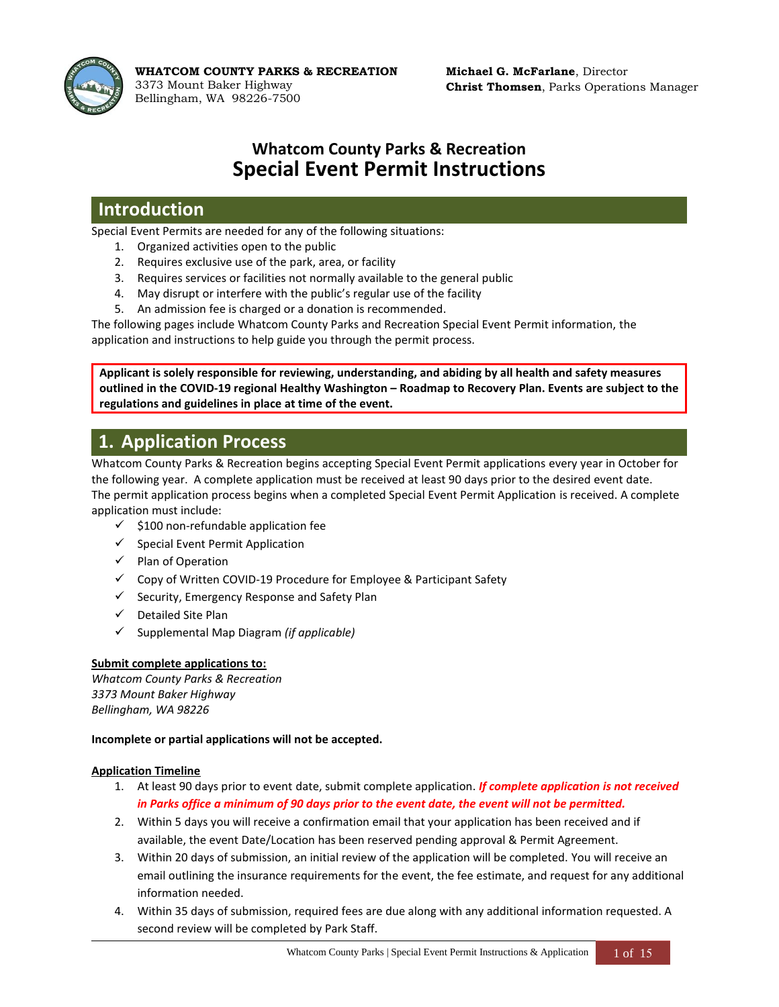

**WHATCOM COUNTY PARKS & RECREATION** 3373 Mount Baker Highway Bellingham, WA 98226-7500

# **Whatcom County Parks & Recreation Special Event Permit Instructions**

### **Introduction**

Special Event Permits are needed for any of the following situations:

- 1. Organized activities open to the public
- 2. Requires exclusive use of the park, area, or facility
- 3. Requires services or facilities not normally available to the general public
- 4. May disrupt or interfere with the public's regular use of the facility
- 5. An admission fee is charged or a donation is recommended.

The following pages include Whatcom County Parks and Recreation Special Event Permit information, the application and instructions to help guide you through the permit process.

**Applicant is solely responsible for reviewing, understanding, and abiding by all health and safety measures outlined in the COVID-19 regional Healthy Washington – Roadmap to Recovery Plan. Events are subject to the regulations and guidelines in place at time of the event.** 

# **1. Application Process**

Whatcom County Parks & Recreation begins accepting Special Event Permit applications every year in October for the following year. A complete application must be received at least 90 days prior to the desired event date. The permit application process begins when a completed Special Event Permit Application is received. A complete application must include:

- $\checkmark$  \$100 non-refundable application fee
- ✓ Special Event Permit Application
- ✓ Plan of Operation
- ✓ Copy of Written COVID-19 Procedure for Employee & Participant Safety
- ✓ Security, Emergency Response and Safety Plan
- ✓ Detailed Site Plan
- ✓ Supplemental Map Diagram *(if applicable)*

### **Submit complete applications to:**

*Whatcom County Parks & Recreation 3373 Mount Baker Highway Bellingham, WA 98226*

### **Incomplete or partial applications will not be accepted.**

### **Application Timeline**

- 1. At least 90 days prior to event date, submit complete application. *If complete application is not received in Parks office a minimum of 90 days prior to the event date, the event will not be permitted.*
- 2. Within 5 days you will receive a confirmation email that your application has been received and if available, the event Date/Location has been reserved pending approval & Permit Agreement.
- 3. Within 20 days of submission, an initial review of the application will be completed. You will receive an email outlining the insurance requirements for the event, the fee estimate, and request for any additional information needed.
- 4. Within 35 days of submission, required fees are due along with any additional information requested. A second review will be completed by Park Staff.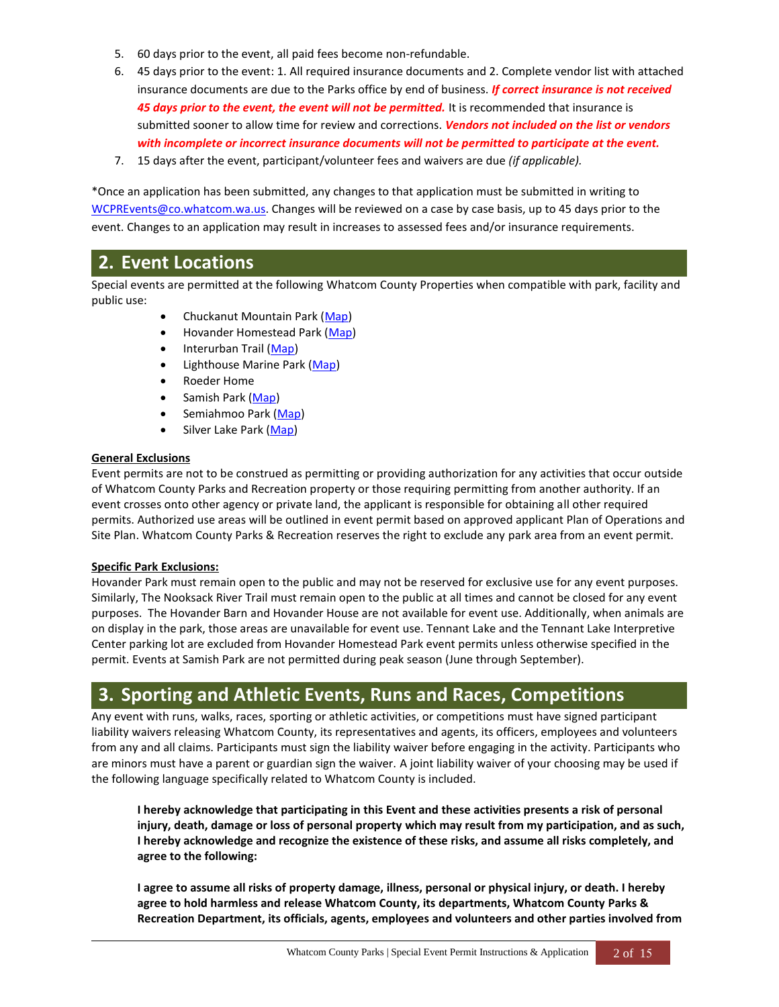- 5. 60 days prior to the event, all paid fees become non-refundable.
- 6. 45 days prior to the event: 1. All required insurance documents and 2. Complete vendor list with attached insurance documents are due to the Parks office by end of business. *If correct insurance is not received 45 days prior to the event, the event will not be permitted.* It is recommended that insurance is submitted sooner to allow time for review and corrections. *Vendors not included on the list or vendors with incomplete or incorrect insurance documents will not be permitted to participate at the event.*
- 7. 15 days after the event, participant/volunteer fees and waivers are due *(if applicable).*

\*Once an application has been submitted, any changes to that application must be submitted in writing to [WCPREvents@co.whatcom.wa.us.](mailto:WCPREvents@co.whatcom.wa.us) Changes will be reviewed on a case by case basis, up to 45 days prior to the event. Changes to an application may result in increases to assessed fees and/or insurance requirements.

### **2. Event Locations**

Special events are permitted at the following Whatcom County Properties when compatible with park, facility and public use:

- Chuckanut Mountain Park [\(Map\)](http://www.co.whatcom.wa.us/DocumentCenter/View/6952/Chuckanut-Mountain-Park-Map?bidId=)
- Hovander Homestead Park [\(Map\)](http://www.co.whatcom.wa.us/DocumentCenter/View/6956/Hovander-Homestead-Park-Map?bidId=)
- Interurban Trail [\(Map\)](http://www.co.whatcom.wa.us/DocumentCenter/View/30889/Interurban-Trail-Map?bidId=)
- Lighthouse Marine Park [\(Map\)](http://www.co.whatcom.wa.us/1956/Lighthouse-Marine-Park)
- Roeder Home
- Samish Park [\(Map\)](http://www.co.whatcom.wa.us/DocumentCenter/View/6969/Samish-Park-Map?bidId=)
- Semiahmoo Park [\(Map\)](http://www.co.whatcom.wa.us/DocumentCenter/View/6970/Semiahmoo-Park-Map?bidId=)
- Silver Lake Park [\(Map\)](http://www.co.whatcom.wa.us/1937/Silver-Lake-Park)

#### **General Exclusions**

Event permits are not to be construed as permitting or providing authorization for any activities that occur outside of Whatcom County Parks and Recreation property or those requiring permitting from another authority. If an event crosses onto other agency or private land, the applicant is responsible for obtaining all other required permits. Authorized use areas will be outlined in event permit based on approved applicant Plan of Operations and Site Plan. Whatcom County Parks & Recreation reserves the right to exclude any park area from an event permit.

#### **Specific Park Exclusions:**

Hovander Park must remain open to the public and may not be reserved for exclusive use for any event purposes. Similarly, The Nooksack River Trail must remain open to the public at all times and cannot be closed for any event purposes. The Hovander Barn and Hovander House are not available for event use. Additionally, when animals are on display in the park, those areas are unavailable for event use. Tennant Lake and the Tennant Lake Interpretive Center parking lot are excluded from Hovander Homestead Park event permits unless otherwise specified in the permit. Events at Samish Park are not permitted during peak season (June through September).

## **3. Sporting and Athletic Events, Runs and Races, Competitions**

Any event with runs, walks, races, sporting or athletic activities, or competitions must have signed participant liability waivers releasing Whatcom County, its representatives and agents, its officers, employees and volunteers from any and all claims. Participants must sign the liability waiver before engaging in the activity. Participants who are minors must have a parent or guardian sign the waiver. A joint liability waiver of your choosing may be used if the following language specifically related to Whatcom County is included.

**I hereby acknowledge that participating in this Event and these activities presents a risk of personal injury, death, damage or loss of personal property which may result from my participation, and as such, I hereby acknowledge and recognize the existence of these risks, and assume all risks completely, and agree to the following:** 

**I agree to assume all risks of property damage, illness, personal or physical injury, or death. I hereby agree to hold harmless and release Whatcom County, its departments, Whatcom County Parks & Recreation Department, its officials, agents, employees and volunteers and other parties involved from**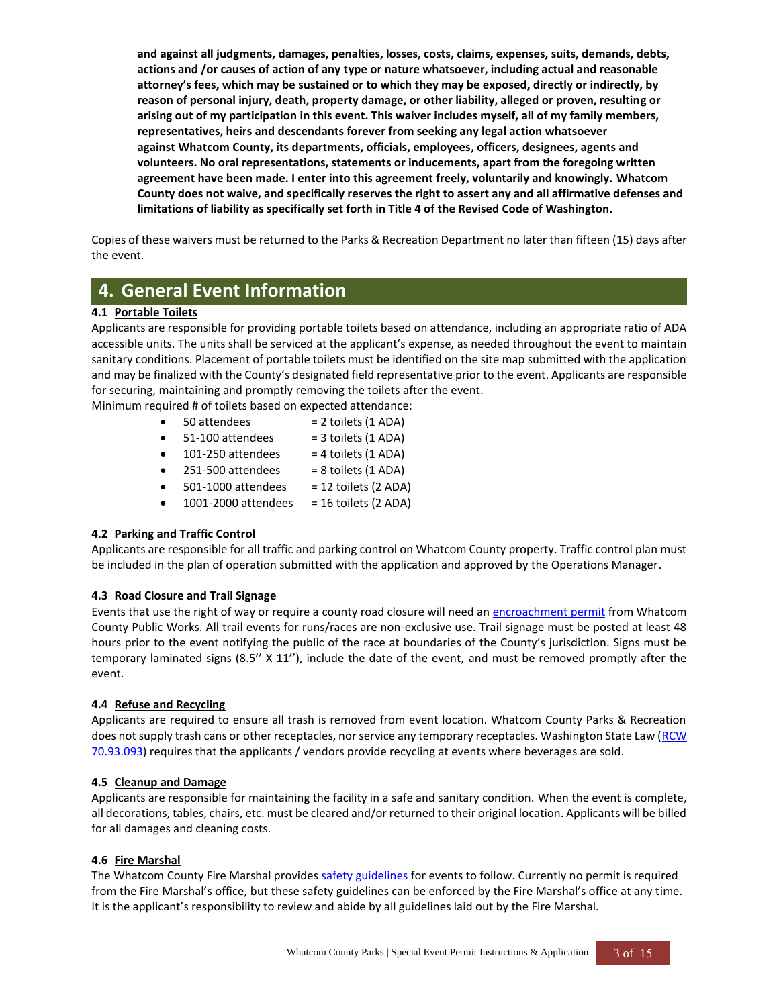**and against all judgments, damages, penalties, losses, costs, claims, expenses, suits, demands, debts, actions and /or causes of action of any type or nature whatsoever, including actual and reasonable attorney's fees, which may be sustained or to which they may be exposed, directly or indirectly, by reason of personal injury, death, property damage, or other liability, alleged or proven, resulting or arising out of my participation in this event. This waiver includes myself, all of my family members, representatives, heirs and descendants forever from seeking any legal action whatsoever against Whatcom County, its departments, officials, employees, officers, designees, agents and volunteers. No oral representations, statements or inducements, apart from the foregoing written agreement have been made. I enter into this agreement freely, voluntarily and knowingly. Whatcom County does not waive, and specifically reserves the right to assert any and all affirmative defenses and limitations of liability as specifically set forth in Title 4 of the Revised Code of Washington.**

Copies of these waivers must be returned to the Parks & Recreation Department no later than fifteen (15) days after the event.

# **4. General Event Information**

### **4.1 Portable Toilets**

Applicants are responsible for providing portable toilets based on attendance, including an appropriate ratio of ADA accessible units. The units shall be serviced at the applicant's expense, as needed throughout the event to maintain sanitary conditions. Placement of portable toilets must be identified on the site map submitted with the application and may be finalized with the County's designated field representative prior to the event. Applicants are responsible for securing, maintaining and promptly removing the toilets after the event.

Minimum required # of toilets based on expected attendance:

- $\bullet$  50 attendees  $= 2$  toilets (1 ADA)
- $\bullet$  51-100 attendees = 3 toilets (1 ADA)
- $\bullet$  101-250 attendees = 4 toilets (1 ADA)
- $\bullet$  251-500 attendees = 8 toilets (1 ADA)
- $\bullet$  501-1000 attendees = 12 toilets (2 ADA)
- 1001-2000 attendees = 16 toilets (2 ADA)

### **4.2 Parking and Traffic Control**

Applicants are responsible for all traffic and parking control on Whatcom County property. Traffic control plan must be included in the plan of operation submitted with the application and approved by the Operations Manager.

### **4.3 Road Closure and Trail Signage**

Events that use the right of way or require a county road closure will need a[n encroachment permit](http://www.whatcomcounty.us/507/Encroachment-Permits) from Whatcom County Public Works. All trail events for runs/races are non-exclusive use. Trail signage must be posted at least 48 hours prior to the event notifying the public of the race at boundaries of the County's jurisdiction. Signs must be temporary laminated signs (8.5'' X 11''), include the date of the event, and must be removed promptly after the event.

### **4.4 Refuse and Recycling**

Applicants are required to ensure all trash is removed from event location. Whatcom County Parks & Recreation does not supply trash cans or other receptacles, nor service any temporary receptacles. Washington State Law (RCW [70.93.093\)](https://apps.leg.wa.gov/RCW/default.aspx?cite=70.93.093) requires that the applicants / vendors provide recycling at events where beverages are sold.

### **4.5 Cleanup and Damage**

Applicants are responsible for maintaining the facility in a safe and sanitary condition. When the event is complete, all decorations, tables, chairs, etc. must be cleared and/or returned to their original location. Applicants will be billed for all damages and cleaning costs.

### **4.6 Fire Marshal**

The Whatcom County Fire Marshal provides [safety guidelines](http://www.co.whatcom.wa.us/DocumentCenter/View/36212/FMO-special-event-requirements) for events to follow. Currently no permit is required from the Fire Marshal's office, but these safety guidelines can be enforced by the Fire Marshal's office at any time. It is the applicant's responsibility to review and abide by all guidelines laid out by the Fire Marshal.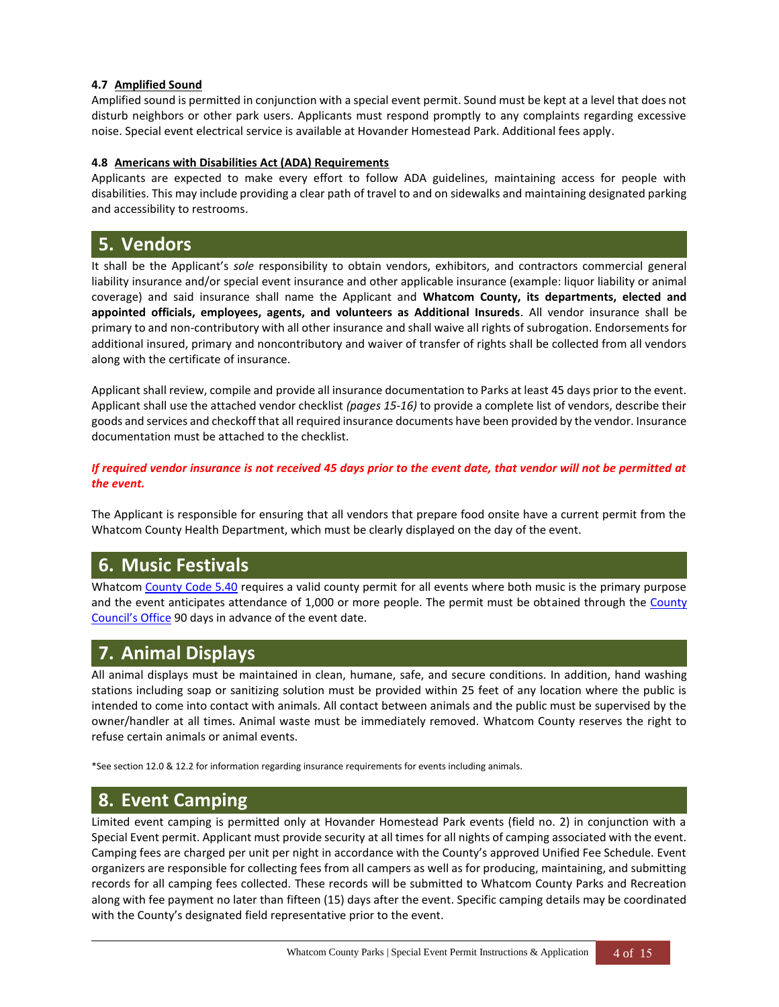### **4.7 Amplified Sound**

Amplified sound is permitted in conjunction with a special event permit. Sound must be kept at a level that does not disturb neighbors or other park users. Applicants must respond promptly to any complaints regarding excessive noise. Special event electrical service is available at Hovander Homestead Park. Additional fees apply.

#### **4.8 Americans with Disabilities Act (ADA) Requirements**

Applicants are expected to make every effort to follow ADA guidelines, maintaining access for people with disabilities. This may include providing a clear path of travel to and on sidewalks and maintaining designated parking and accessibility to restrooms.

### **5. Vendors**

It shall be the Applicant's *sole* responsibility to obtain vendors, exhibitors, and contractors commercial general liability insurance and/or special event insurance and other applicable insurance (example: liquor liability or animal coverage) and said insurance shall name the Applicant and **Whatcom County, its departments, elected and appointed officials, employees, agents, and volunteers as Additional Insureds**. All vendor insurance shall be primary to and non-contributory with all other insurance and shall waive all rights of subrogation. Endorsements for additional insured, primary and noncontributory and waiver of transfer of rights shall be collected from all vendors along with the certificate of insurance.

Applicant shall review, compile and provide all insurance documentation to Parks at least 45 days prior to the event. Applicant shall use the attached vendor checklist *(pages 15-16)* to provide a complete list of vendors, describe their goods and services and checkoff that all required insurance documents have been provided by the vendor. Insurance documentation must be attached to the checklist.

*If required vendor insurance is not received 45 days prior to the event date, that vendor will not be permitted at the event.*

The Applicant is responsible for ensuring that all vendors that prepare food onsite have a current permit from the Whatcom County Health Department, which must be clearly displayed on the day of the event.

# **6. Music Festivals**

Whatcom [County Code 5.40](https://www.codepublishing.com/WA/WhatcomCounty/#!/WhatcomCounty05/WhatcomCounty0540.html) requires a valid county permit for all events where both music is the primary purpose and the event anticipates attendance of 1,000 or more people. The permit must be obtained through the County [Council's Office](http://www.co.whatcom.wa.us/268/County-Council) 90 days in advance of the event date.

# **7. Animal Displays**

All animal displays must be maintained in clean, humane, safe, and secure conditions. In addition, hand washing stations including soap or sanitizing solution must be provided within 25 feet of any location where the public is intended to come into contact with animals. All contact between animals and the public must be supervised by the owner/handler at all times. Animal waste must be immediately removed. Whatcom County reserves the right to refuse certain animals or animal events.

\*See section 12.0 & 12.2 for information regarding insurance requirements for events including animals.

## **8. Event Camping**

Limited event camping is permitted only at Hovander Homestead Park events (field no. 2) in conjunction with a Special Event permit. Applicant must provide security at all times for all nights of camping associated with the event. Camping fees are charged per unit per night in accordance with the County's approved Unified Fee Schedule. Event organizers are responsible for collecting fees from all campers as well as for producing, maintaining, and submitting records for all camping fees collected. These records will be submitted to Whatcom County Parks and Recreation along with fee payment no later than fifteen (15) days after the event. Specific camping details may be coordinated with the County's designated field representative prior to the event.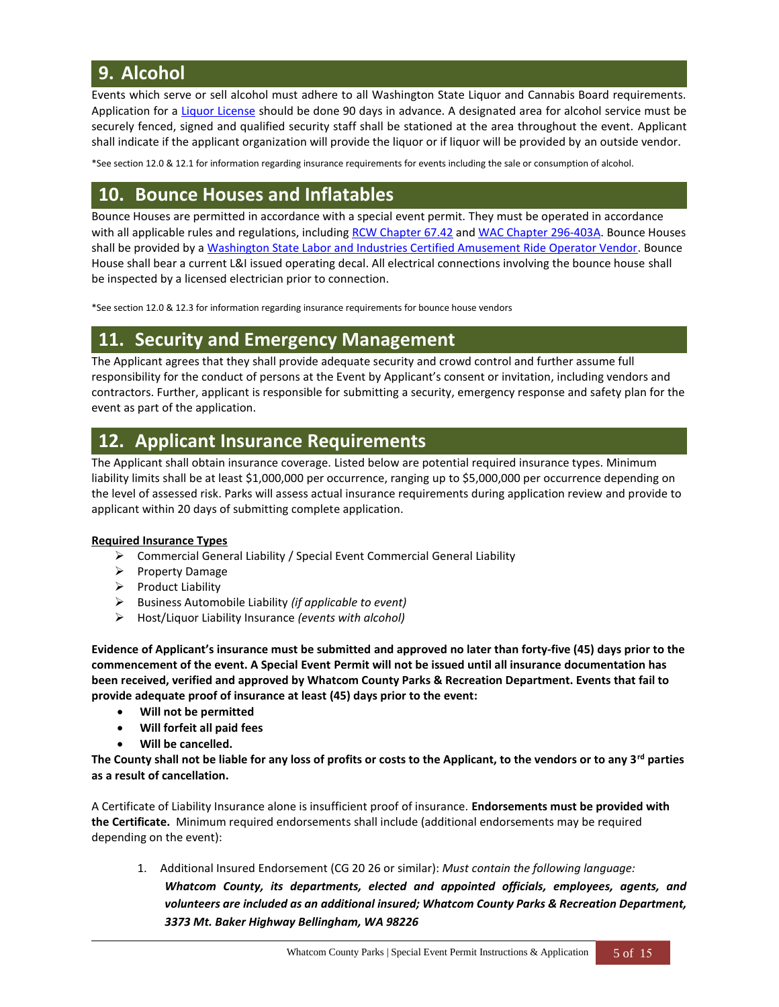# **9. Alcohol**

Events which serve or sell alcohol must adhere to all Washington State Liquor and Cannabis Board requirements. Application for a [Liquor License](https://lcb.wa.gov/licensing/apply-liquor-license) should be done 90 days in advance. A designated area for alcohol service must be securely fenced, signed and qualified security staff shall be stationed at the area throughout the event. Applicant shall indicate if the applicant organization will provide the liquor or if liquor will be provided by an outside vendor.

\*See section 12.0 & 12.1 for information regarding insurance requirements for events including the sale or consumption of alcohol.

## **10. Bounce Houses and Inflatables**

Bounce Houses are permitted in accordance with a special event permit. They must be operated in accordance with all applicable rules and regulations, including [RCW Chapter 67.42](https://app.leg.wa.gov/RCW/default.aspx?cite=67.42) and [WAC Chapter 296-403A.](https://apps.leg.wa.gov/wac/default.aspx?cite=296-403A) Bounce Houses shall be provided by a [Washington State Labor and Industries Certified Amusement Ride Operator Vendor.](https://www.lni.wa.gov/TradesLicensing/Electrical/AmuseRide/LicensedOperators.asp) Bounce House shall bear a current L&I issued operating decal. All electrical connections involving the bounce house shall be inspected by a licensed electrician prior to connection.

\*See section 12.0 & 12.3 for information regarding insurance requirements for bounce house vendors

# **11. Security and Emergency Management**

The Applicant agrees that they shall provide adequate security and crowd control and further assume full responsibility for the conduct of persons at the Event by Applicant's consent or invitation, including vendors and contractors. Further, applicant is responsible for submitting a security, emergency response and safety plan for the event as part of the application.

# **12. Applicant Insurance Requirements**

The Applicant shall obtain insurance coverage. Listed below are potential required insurance types. Minimum liability limits shall be at least \$1,000,000 per occurrence, ranging up to \$5,000,000 per occurrence depending on the level of assessed risk. Parks will assess actual insurance requirements during application review and provide to applicant within 20 days of submitting complete application.

### **Required Insurance Types**

- ➢ Commercial General Liability / Special Event Commercial General Liability
- ➢ Property Damage
- ➢ Product Liability
- ➢ Business Automobile Liability *(if applicable to event)*
- ➢ Host/Liquor Liability Insurance *(events with alcohol)*

**Evidence of Applicant's insurance must be submitted and approved no later than forty-five (45) days prior to the commencement of the event. A Special Event Permit will not be issued until all insurance documentation has been received, verified and approved by Whatcom County Parks & Recreation Department. Events that fail to provide adequate proof of insurance at least (45) days prior to the event:**

- **Will not be permitted**
- **Will forfeit all paid fees**
- **Will be cancelled.**

**The County shall not be liable for any loss of profits or costs to the Applicant, to the vendors or to any 3rd parties as a result of cancellation.**

A Certificate of Liability Insurance alone is insufficient proof of insurance. **Endorsements must be provided with the Certificate.** Minimum required endorsements shall include (additional endorsements may be required depending on the event):

1. Additional Insured Endorsement (CG 20 26 or similar): *Must contain the following language: Whatcom County, its departments, elected and appointed officials, employees, agents, and volunteers are included as an additional insured; Whatcom County Parks & Recreation Department, 3373 Mt. Baker Highway Bellingham, WA 98226*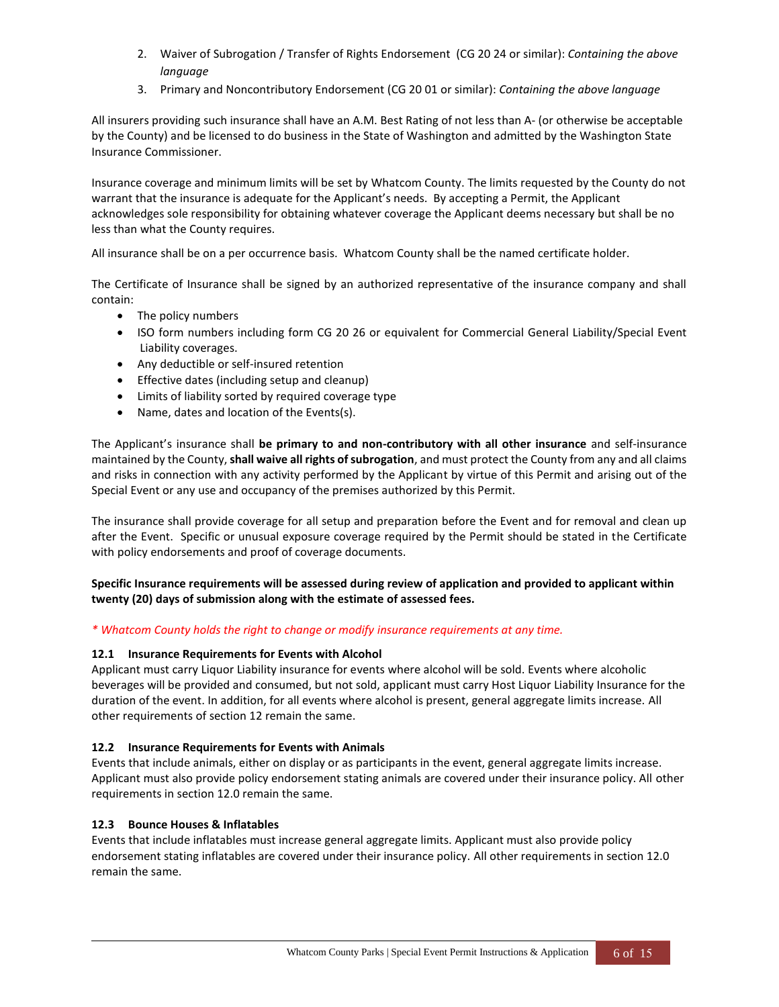- 2. Waiver of Subrogation / Transfer of Rights Endorsement (CG 20 24 or similar): *Containing the above language*
- 3. Primary and Noncontributory Endorsement (CG 20 01 or similar): *Containing the above language*

All insurers providing such insurance shall have an A.M. Best Rating of not less than A- (or otherwise be acceptable by the County) and be licensed to do business in the State of Washington and admitted by the Washington State Insurance Commissioner.

Insurance coverage and minimum limits will be set by Whatcom County. The limits requested by the County do not warrant that the insurance is adequate for the Applicant's needs. By accepting a Permit, the Applicant acknowledges sole responsibility for obtaining whatever coverage the Applicant deems necessary but shall be no less than what the County requires.

All insurance shall be on a per occurrence basis. Whatcom County shall be the named certificate holder.

The Certificate of Insurance shall be signed by an authorized representative of the insurance company and shall contain:

- The policy numbers
- ISO form numbers including form CG 20 26 or equivalent for Commercial General Liability/Special Event Liability coverages.
- Any deductible or self-insured retention
- Effective dates (including setup and cleanup)
- Limits of liability sorted by required coverage type
- Name, dates and location of the Events(s).

The Applicant's insurance shall **be primary to and non-contributory with all other insurance** and self-insurance maintained by the County, **shall waive all rights of subrogation**, and must protect the County from any and all claims and risks in connection with any activity performed by the Applicant by virtue of this Permit and arising out of the Special Event or any use and occupancy of the premises authorized by this Permit.

The insurance shall provide coverage for all setup and preparation before the Event and for removal and clean up after the Event. Specific or unusual exposure coverage required by the Permit should be stated in the Certificate with policy endorsements and proof of coverage documents.

**Specific Insurance requirements will be assessed during review of application and provided to applicant within twenty (20) days of submission along with the estimate of assessed fees.** 

### *\* Whatcom County holds the right to change or modify insurance requirements at any time.*

### **12.1 Insurance Requirements for Events with Alcohol**

Applicant must carry Liquor Liability insurance for events where alcohol will be sold. Events where alcoholic beverages will be provided and consumed, but not sold, applicant must carry Host Liquor Liability Insurance for the duration of the event. In addition, for all events where alcohol is present, general aggregate limits increase. All other requirements of section 12 remain the same.

### **12.2 Insurance Requirements for Events with Animals**

Events that include animals, either on display or as participants in the event, general aggregate limits increase. Applicant must also provide policy endorsement stating animals are covered under their insurance policy. All other requirements in section 12.0 remain the same.

### **12.3 Bounce Houses & Inflatables**

Events that include inflatables must increase general aggregate limits. Applicant must also provide policy endorsement stating inflatables are covered under their insurance policy. All other requirements in section 12.0 remain the same.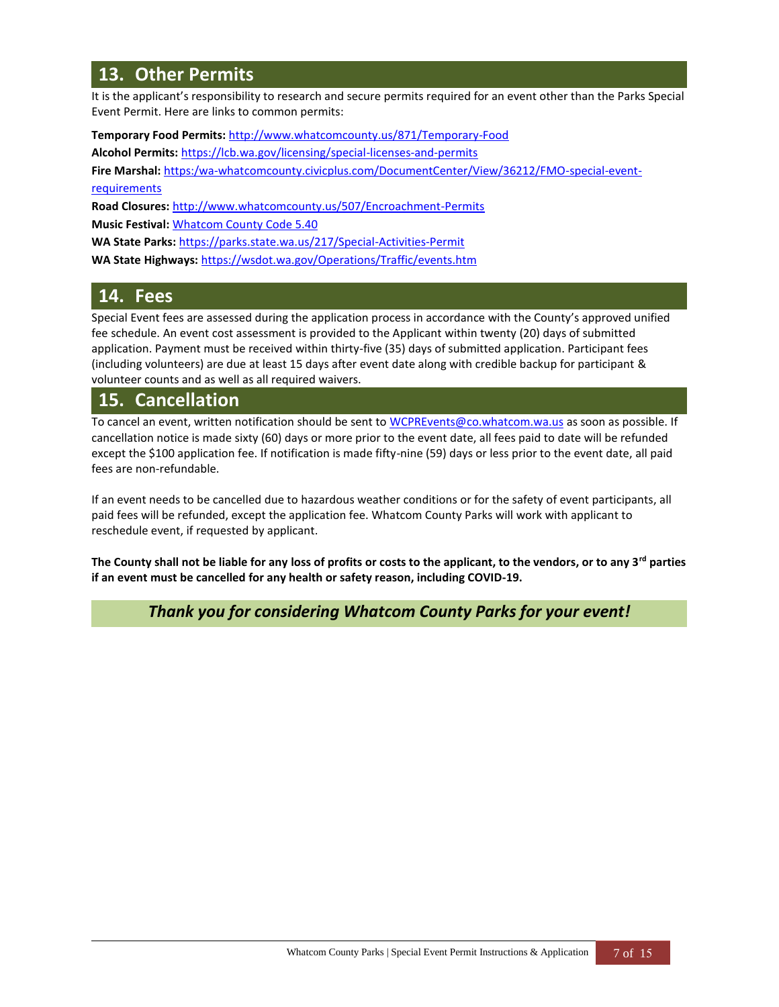# **13. Other Permits**

It is the applicant's responsibility to research and secure permits required for an event other than the Parks Special Event Permit. Here are links to common permits:

**Temporary Food Permits:** <http://www.whatcomcounty.us/871/Temporary-Food>

**Alcohol Permits:** <https://lcb.wa.gov/licensing/special-licenses-and-permits>

**Fire Marshal:** [https:/wa-whatcomcounty.civicplus.com/DocumentCenter/View/36212/FMO-special-event-](https://wa-whatcomcounty.civicplus.com/DocumentCenter/View/36212/FMO-special-event-requirements)

### [requirements](https://wa-whatcomcounty.civicplus.com/DocumentCenter/View/36212/FMO-special-event-requirements)

**Road Closures:** <http://www.whatcomcounty.us/507/Encroachment-Permits>

**Music Festival:** [Whatcom County Code](https://www.codepublishing.com/WA/WhatcomCounty/#!/WhatcomCounty05/WhatcomCounty0540.html) 5.40

**WA State Parks:** <https://parks.state.wa.us/217/Special-Activities-Permit>

**WA State Highways:** <https://wsdot.wa.gov/Operations/Traffic/events.htm>

# **14. Fees**

Special Event fees are assessed during the application process in accordance with the County's approved unified fee schedule. An event cost assessment is provided to the Applicant within twenty (20) days of submitted application. Payment must be received within thirty-five (35) days of submitted application. Participant fees (including volunteers) are due at least 15 days after event date along with credible backup for participant & volunteer counts and as well as all required waivers.

# **15. Cancellation**

To cancel an event, written notification should be sent to [WCPREvents@co.whatcom.wa.us](mailto:WCPREvents@co.whatcom.wa.us) as soon as possible. If cancellation notice is made sixty (60) days or more prior to the event date, all fees paid to date will be refunded except the \$100 application fee. If notification is made fifty-nine (59) days or less prior to the event date, all paid fees are non-refundable.

If an event needs to be cancelled due to hazardous weather conditions or for the safety of event participants, all paid fees will be refunded, except the application fee. Whatcom County Parks will work with applicant to reschedule event, if requested by applicant.

**The County shall not be liable for any loss of profits or costs to the applicant, to the vendors, or to any 3rd parties if an event must be cancelled for any health or safety reason, including COVID-19.**

### *Thank you for considering Whatcom County Parks for your event!*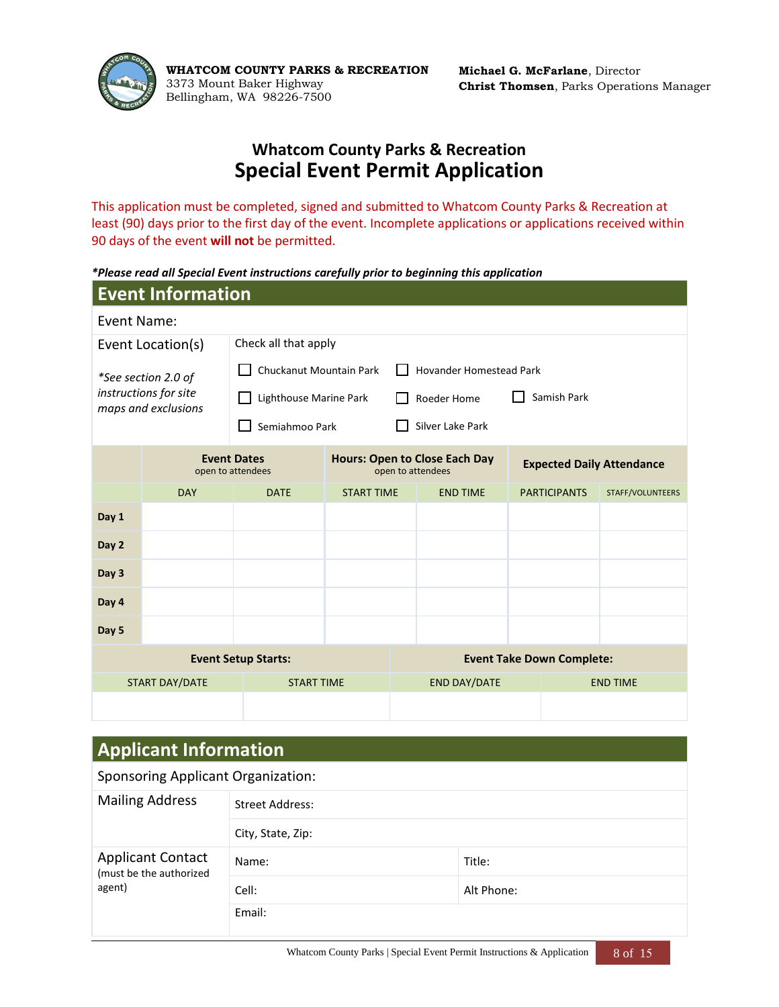

**WHATCOM COUNTY PARKS & RECREATION** 3373 Mount Baker Highway Bellingham, WA 98226-7500

**Michael G. McFarlane**, Director **Christ Thomsen**, Parks Operations Manager

# **Whatcom County Parks & Recreation Special Event Permit Application**

This application must be completed, signed and submitted to Whatcom County Parks & Recreation at least (90) days prior to the first day of the event. Incomplete applications or applications received within 90 days of the event **will not** be permitted.

*\*Please read all Special Event instructions carefully prior to beginning this application*

| <b>Event Information</b>                   |                                                                |                                                                                                      |                      |                            |                                  |  |                     |                  |
|--------------------------------------------|----------------------------------------------------------------|------------------------------------------------------------------------------------------------------|----------------------|----------------------------|----------------------------------|--|---------------------|------------------|
|                                            | Event Name:                                                    |                                                                                                      |                      |                            |                                  |  |                     |                  |
|                                            | Event Location(s)                                              |                                                                                                      | Check all that apply |                            |                                  |  |                     |                  |
| *See section 2.0 of                        |                                                                | Chuckanut Mountain Park<br><b>Hovander Homestead Park</b>                                            |                      |                            |                                  |  |                     |                  |
|                                            | instructions for site<br>maps and exclusions                   | Lighthouse Marine Park                                                                               |                      | Samish Park<br>Roeder Home |                                  |  |                     |                  |
|                                            |                                                                | Semiahmoo Park                                                                                       |                      |                            | Silver Lake Park                 |  |                     |                  |
|                                            |                                                                | <b>Event Dates</b><br><b>Hours: Open to Close Each Day</b><br>open to attendees<br>open to attendees |                      |                            | <b>Expected Daily Attendance</b> |  |                     |                  |
|                                            | <b>DAY</b>                                                     | <b>DATE</b>                                                                                          | <b>START TIME</b>    |                            | <b>END TIME</b>                  |  | <b>PARTICIPANTS</b> | STAFF/VOLUNTEERS |
| Day 1                                      |                                                                |                                                                                                      |                      |                            |                                  |  |                     |                  |
| Day 2                                      |                                                                |                                                                                                      |                      |                            |                                  |  |                     |                  |
| Day 3                                      |                                                                |                                                                                                      |                      |                            |                                  |  |                     |                  |
| Day 4                                      |                                                                |                                                                                                      |                      |                            |                                  |  |                     |                  |
| Day 5                                      |                                                                |                                                                                                      |                      |                            |                                  |  |                     |                  |
|                                            | <b>Event Take Down Complete:</b><br><b>Event Setup Starts:</b> |                                                                                                      |                      |                            |                                  |  |                     |                  |
| <b>START DAY/DATE</b><br><b>START TIME</b> |                                                                |                                                                                                      |                      |                            | <b>END DAY/DATE</b>              |  |                     | <b>END TIME</b>  |
|                                            |                                                                |                                                                                                      |                      |                            |                                  |  |                     |                  |

# **Applicant Information**

| <b>Sponsoring Applicant Organization:</b>           |                        |            |  |  |
|-----------------------------------------------------|------------------------|------------|--|--|
| <b>Mailing Address</b>                              | <b>Street Address:</b> |            |  |  |
|                                                     | City, State, Zip:      |            |  |  |
| <b>Applicant Contact</b><br>(must be the authorized | Name:                  | Title:     |  |  |
| agent)                                              | Cell:                  | Alt Phone: |  |  |
|                                                     | Email:                 |            |  |  |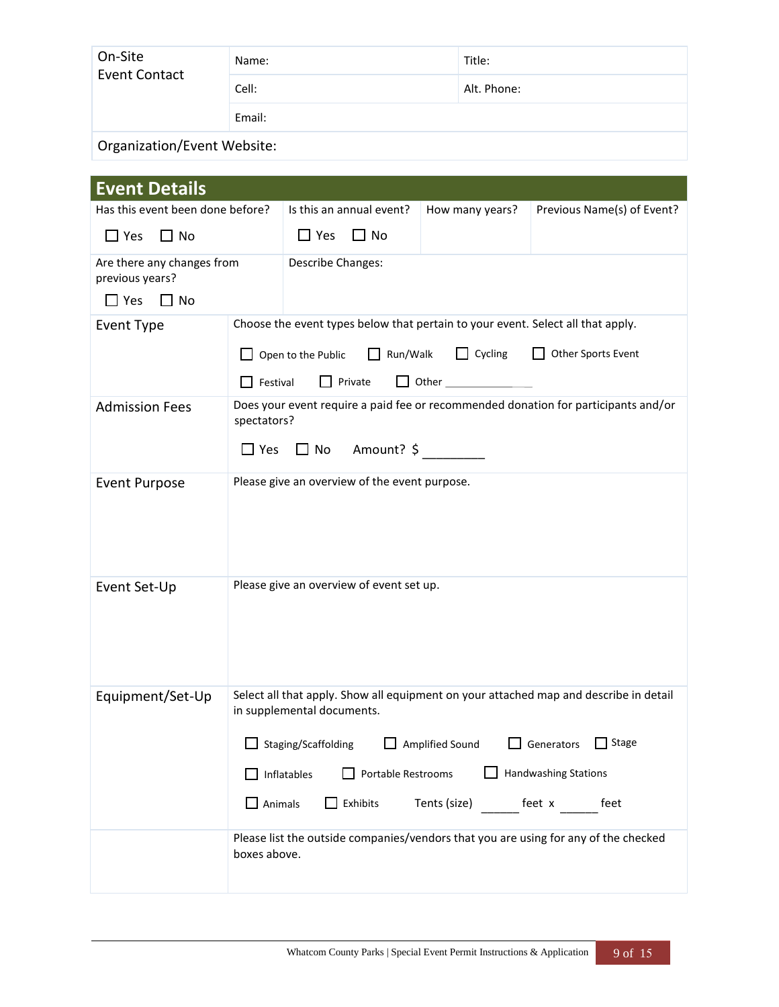| On-Site<br><b>Event Contact</b> | Name:  | Title:      |  |  |
|---------------------------------|--------|-------------|--|--|
|                                 | Cell:  | Alt. Phone: |  |  |
|                                 | Email: |             |  |  |
| Organization/Event Website:     |        |             |  |  |

| <b>Event Details</b>                                                                                |                           |                                                                |                                                                                 |                                                                                       |  |  |  |
|-----------------------------------------------------------------------------------------------------|---------------------------|----------------------------------------------------------------|---------------------------------------------------------------------------------|---------------------------------------------------------------------------------------|--|--|--|
| Has this event been done before?                                                                    |                           | Is this an annual event?                                       | How many years?                                                                 | Previous Name(s) of Event?                                                            |  |  |  |
| $\Box$ Yes<br>$\Box$ No                                                                             |                           | $\Box$ Yes<br>$\Box$ No                                        |                                                                                 |                                                                                       |  |  |  |
| Are there any changes from<br>previous years?<br>$\Box$ Yes<br>$\Box$ No                            |                           | Describe Changes:                                              |                                                                                 |                                                                                       |  |  |  |
| Event Type                                                                                          |                           |                                                                | Choose the event types below that pertain to your event. Select all that apply. |                                                                                       |  |  |  |
|                                                                                                     |                           | $\Box$ Run/Walk<br>$\Box$ Open to the Public                   | $\Box$ Cycling                                                                  | Other Sports Event                                                                    |  |  |  |
|                                                                                                     |                           | $\Box$ Private<br>$\Box$ Other $\Box$<br>$\Box$ Festival       |                                                                                 |                                                                                       |  |  |  |
| <b>Admission Fees</b>                                                                               | spectators?<br>$\Box$ Yes | Amount? \$<br>$\Box$ No                                        |                                                                                 | Does your event require a paid fee or recommended donation for participants and/or    |  |  |  |
| <b>Event Purpose</b>                                                                                |                           | Please give an overview of the event purpose.                  |                                                                                 |                                                                                       |  |  |  |
|                                                                                                     |                           |                                                                |                                                                                 |                                                                                       |  |  |  |
| Event Set-Up                                                                                        |                           | Please give an overview of event set up.                       |                                                                                 |                                                                                       |  |  |  |
| Equipment/Set-Up                                                                                    |                           | in supplemental documents.                                     |                                                                                 | Select all that apply. Show all equipment on your attached map and describe in detail |  |  |  |
|                                                                                                     |                           | Amplified Sound Generators Stage<br>$\Box$ Staging/Scaffolding |                                                                                 |                                                                                       |  |  |  |
|                                                                                                     |                           | Handwashing Stations<br>Inflatables<br>Portable Restrooms      |                                                                                 |                                                                                       |  |  |  |
|                                                                                                     | Animals                   | Exhibits                                                       | Tents (size)                                                                    | feet x<br>feet                                                                        |  |  |  |
| Please list the outside companies/vendors that you are using for any of the checked<br>boxes above. |                           |                                                                |                                                                                 |                                                                                       |  |  |  |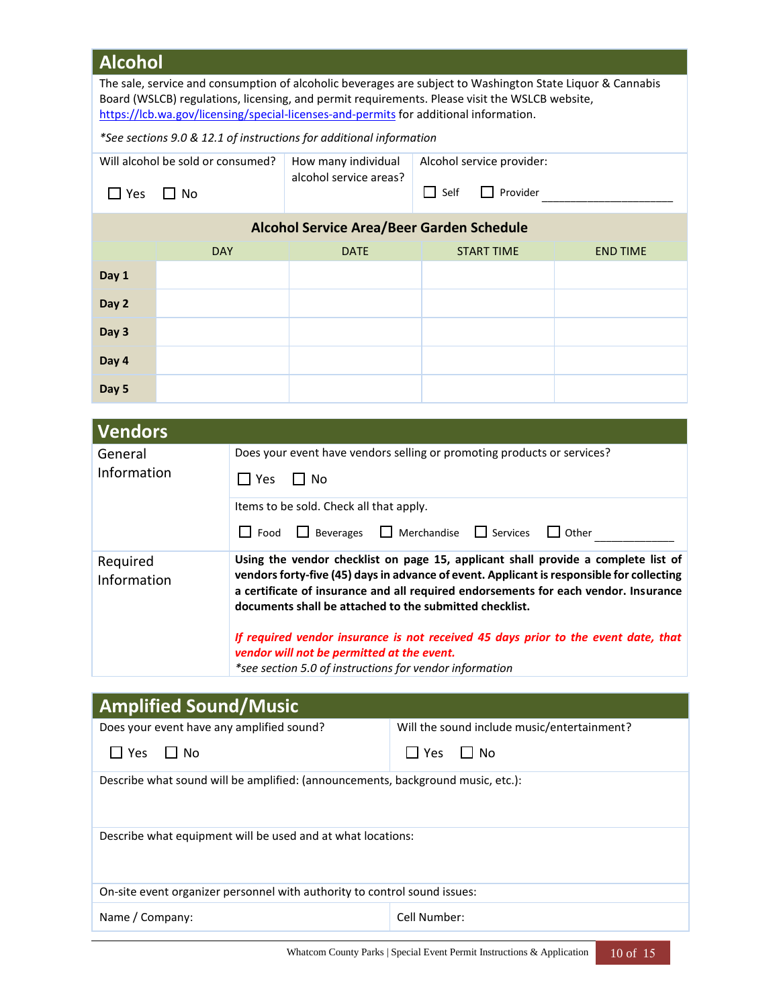|                                                                                                                                                                                                                                                                                                       | <b>Alcohol</b>                                                                                    |            |                                                                            |                                                                                                                                                                                                                                                                                                                                   |                                                                         |                 |  |
|-------------------------------------------------------------------------------------------------------------------------------------------------------------------------------------------------------------------------------------------------------------------------------------------------------|---------------------------------------------------------------------------------------------------|------------|----------------------------------------------------------------------------|-----------------------------------------------------------------------------------------------------------------------------------------------------------------------------------------------------------------------------------------------------------------------------------------------------------------------------------|-------------------------------------------------------------------------|-----------------|--|
| The sale, service and consumption of alcoholic beverages are subject to Washington State Liquor & Cannabis<br>Board (WSLCB) regulations, licensing, and permit requirements. Please visit the WSLCB website,<br>https://lcb.wa.gov/licensing/special-licenses-and-permits for additional information. |                                                                                                   |            |                                                                            |                                                                                                                                                                                                                                                                                                                                   |                                                                         |                 |  |
|                                                                                                                                                                                                                                                                                                       |                                                                                                   |            | *See sections 9.0 & 12.1 of instructions for additional information        |                                                                                                                                                                                                                                                                                                                                   |                                                                         |                 |  |
|                                                                                                                                                                                                                                                                                                       | Will alcohol be sold or consumed?                                                                 |            | How many individual                                                        |                                                                                                                                                                                                                                                                                                                                   | Alcohol service provider:                                               |                 |  |
| $\Box$ Yes                                                                                                                                                                                                                                                                                            | $\Box$ No                                                                                         |            | alcohol service areas?                                                     |                                                                                                                                                                                                                                                                                                                                   | $\Box$ Self<br>$\Box$ Provider                                          |                 |  |
|                                                                                                                                                                                                                                                                                                       |                                                                                                   |            |                                                                            |                                                                                                                                                                                                                                                                                                                                   | <b>Alcohol Service Area/Beer Garden Schedule</b>                        |                 |  |
|                                                                                                                                                                                                                                                                                                       | <b>DAY</b>                                                                                        |            | <b>DATE</b>                                                                |                                                                                                                                                                                                                                                                                                                                   | <b>START TIME</b>                                                       | <b>END TIME</b> |  |
| Day 1                                                                                                                                                                                                                                                                                                 |                                                                                                   |            |                                                                            |                                                                                                                                                                                                                                                                                                                                   |                                                                         |                 |  |
| Day 2                                                                                                                                                                                                                                                                                                 |                                                                                                   |            |                                                                            |                                                                                                                                                                                                                                                                                                                                   |                                                                         |                 |  |
| Day 3                                                                                                                                                                                                                                                                                                 |                                                                                                   |            |                                                                            |                                                                                                                                                                                                                                                                                                                                   |                                                                         |                 |  |
| Day 4                                                                                                                                                                                                                                                                                                 |                                                                                                   |            |                                                                            |                                                                                                                                                                                                                                                                                                                                   |                                                                         |                 |  |
| Day 5                                                                                                                                                                                                                                                                                                 |                                                                                                   |            |                                                                            |                                                                                                                                                                                                                                                                                                                                   |                                                                         |                 |  |
|                                                                                                                                                                                                                                                                                                       |                                                                                                   |            |                                                                            |                                                                                                                                                                                                                                                                                                                                   |                                                                         |                 |  |
| <b>Vendors</b>                                                                                                                                                                                                                                                                                        |                                                                                                   |            |                                                                            |                                                                                                                                                                                                                                                                                                                                   | Does your event have vendors selling or promoting products or services? |                 |  |
| General<br>Information                                                                                                                                                                                                                                                                                |                                                                                                   | $\Box$ Yes | $\Box$ No                                                                  |                                                                                                                                                                                                                                                                                                                                   |                                                                         |                 |  |
|                                                                                                                                                                                                                                                                                                       |                                                                                                   |            | Items to be sold. Check all that apply.                                    |                                                                                                                                                                                                                                                                                                                                   |                                                                         |                 |  |
|                                                                                                                                                                                                                                                                                                       |                                                                                                   |            | $\Box$ Merchandise<br>$\Box$ Services<br>Food<br>$\Box$ Beverages<br>Other |                                                                                                                                                                                                                                                                                                                                   |                                                                         |                 |  |
|                                                                                                                                                                                                                                                                                                       | $\mathsf{L}$<br>Using the vendor checklist on page 15, applicant shall provide a complete list of |            |                                                                            |                                                                                                                                                                                                                                                                                                                                   |                                                                         |                 |  |
| Required<br>Information                                                                                                                                                                                                                                                                               |                                                                                                   |            |                                                                            | vendors forty-five (45) days in advance of event. Applicant is responsible for collecting<br>a certificate of insurance and all required endorsements for each vendor. Insurance<br>documents shall be attached to the submitted checklist.<br>If required vendor insurance is not received 45 days prior to the event date, that |                                                                         |                 |  |
|                                                                                                                                                                                                                                                                                                       |                                                                                                   |            | vendor will not be permitted at the event.                                 |                                                                                                                                                                                                                                                                                                                                   |                                                                         |                 |  |
|                                                                                                                                                                                                                                                                                                       |                                                                                                   |            | *see section 5.0 of instructions for vendor information                    |                                                                                                                                                                                                                                                                                                                                   |                                                                         |                 |  |
|                                                                                                                                                                                                                                                                                                       | <b>Amplified Sound/Music</b>                                                                      |            |                                                                            |                                                                                                                                                                                                                                                                                                                                   |                                                                         |                 |  |
|                                                                                                                                                                                                                                                                                                       | Does your event have any amplified sound?                                                         |            |                                                                            |                                                                                                                                                                                                                                                                                                                                   | Will the sound include music/entertainment?                             |                 |  |
| $\Box$ Yes                                                                                                                                                                                                                                                                                            | $\Box$ No                                                                                         |            |                                                                            |                                                                                                                                                                                                                                                                                                                                   | $\Box$ Yes<br>l I No                                                    |                 |  |
| Describe what sound will be amplified: (announcements, background music, etc.):                                                                                                                                                                                                                       |                                                                                                   |            |                                                                            |                                                                                                                                                                                                                                                                                                                                   |                                                                         |                 |  |
| Describe what equipment will be used and at what locations:                                                                                                                                                                                                                                           |                                                                                                   |            |                                                                            |                                                                                                                                                                                                                                                                                                                                   |                                                                         |                 |  |
| On-site event organizer personnel with authority to control sound issues:                                                                                                                                                                                                                             |                                                                                                   |            |                                                                            |                                                                                                                                                                                                                                                                                                                                   |                                                                         |                 |  |
|                                                                                                                                                                                                                                                                                                       | Cell Number:<br>Name / Company:                                                                   |            |                                                                            |                                                                                                                                                                                                                                                                                                                                   |                                                                         |                 |  |

Whatcom County Parks | Special Event Permit Instructions & Application 10 of 15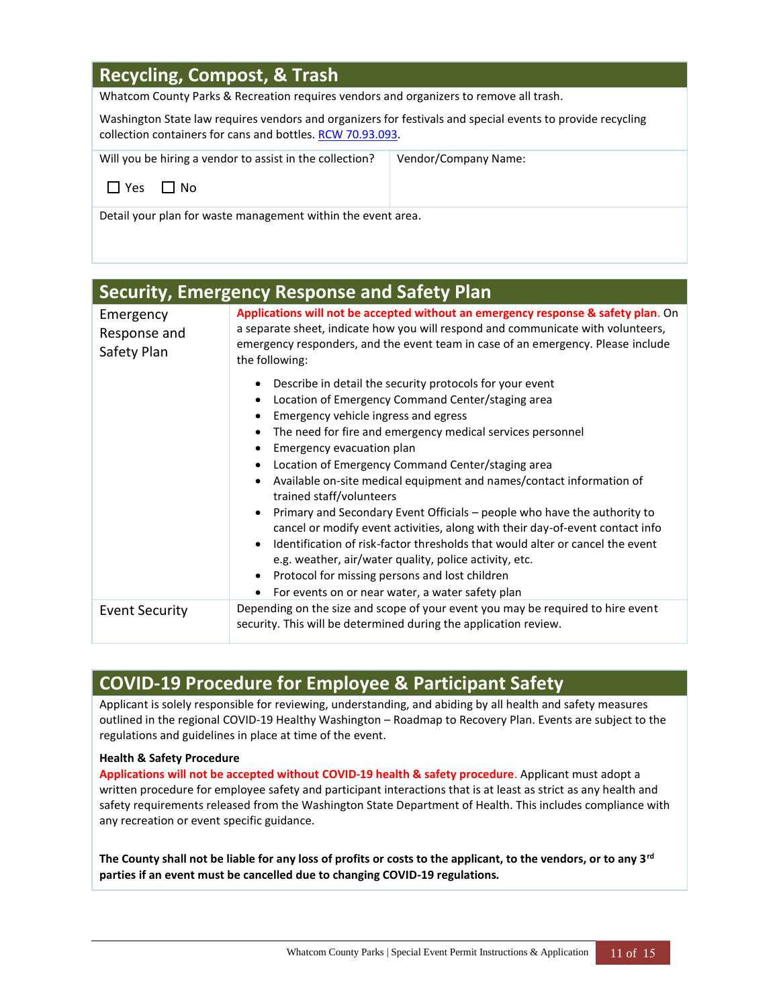# **Recycling, Compost, & Trash**

Whatcom County Parks & Recreation requires vendors and organizers to remove all trash.

Washington State law requires vendors and organizers for festivals and special events to provide recycling collection containers for cans and bottles. [RCW 70.93.093.](http://app.leg.wa.gov/RCW/default.aspx?cite=70.93.093)

| Will you be hiring a vendor to assist in the collection? | Vendor/Company Name: |
|----------------------------------------------------------|----------------------|
| LIYes LINo                                               |                      |
| - - -<br>.                                               |                      |

Detail your plan for waste management within the event area.

|                                          | <b>Security, Emergency Response and Safety Plan</b>                                                                                                                                                                                                                                                                                                                                                                                                                                                                                                                                                                                                                                                                                                                                                                                  |  |  |  |
|------------------------------------------|--------------------------------------------------------------------------------------------------------------------------------------------------------------------------------------------------------------------------------------------------------------------------------------------------------------------------------------------------------------------------------------------------------------------------------------------------------------------------------------------------------------------------------------------------------------------------------------------------------------------------------------------------------------------------------------------------------------------------------------------------------------------------------------------------------------------------------------|--|--|--|
| Emergency<br>Response and<br>Safety Plan | Applications will not be accepted without an emergency response & safety plan. On<br>a separate sheet, indicate how you will respond and communicate with volunteers,<br>emergency responders, and the event team in case of an emergency. Please include<br>the following:                                                                                                                                                                                                                                                                                                                                                                                                                                                                                                                                                          |  |  |  |
|                                          | Describe in detail the security protocols for your event<br>Location of Emergency Command Center/staging area<br>Emergency vehicle ingress and egress<br>The need for fire and emergency medical services personnel<br>Emergency evacuation plan<br>Location of Emergency Command Center/staging area<br>Available on-site medical equipment and names/contact information of<br>trained staff/volunteers<br>Primary and Secondary Event Officials – people who have the authority to<br>cancel or modify event activities, along with their day-of-event contact info<br>Identification of risk-factor thresholds that would alter or cancel the event<br>e.g. weather, air/water quality, police activity, etc.<br>Protocol for missing persons and lost children<br>For events on or near water, a water safety plan<br>$\bullet$ |  |  |  |
| <b>Event Security</b>                    | Depending on the size and scope of your event you may be required to hire event<br>security. This will be determined during the application review.                                                                                                                                                                                                                                                                                                                                                                                                                                                                                                                                                                                                                                                                                  |  |  |  |
|                                          |                                                                                                                                                                                                                                                                                                                                                                                                                                                                                                                                                                                                                                                                                                                                                                                                                                      |  |  |  |

## **COVID-19 Procedure for Employee & Participant Safety**

Applicant is solely responsible for reviewing, understanding, and abiding by all health and safety measures outlined in the regional COVID-19 Healthy Washington – Roadmap to Recovery Plan. Events are subject to the regulations and guidelines in place at time of the event.

#### **Health & Safety Procedure**

**Applications will not be accepted without COVID-19 health & safety procedure**. Applicant must adopt a written procedure for employee safety and participant interactions that is at least as strict as any health and safety requirements released from the Washington State Department of Health. This includes compliance with any recreation or event specific guidance.

**The County shall not be liable for any loss of profits or costs to the applicant, to the vendors, or to any 3rd parties if an event must be cancelled due to changing COVID-19 regulations***.*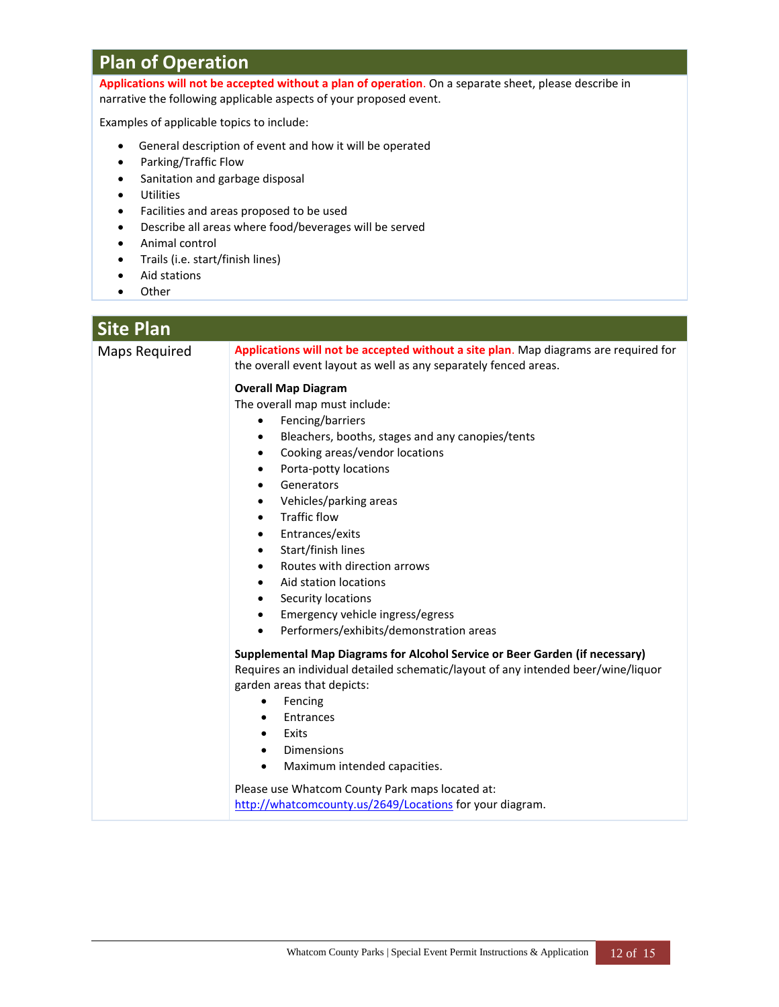# **Plan of Operation**

**Applications will not be accepted without a plan of operation**. On a separate sheet, please describe in narrative the following applicable aspects of your proposed event.

Examples of applicable topics to include:

- General description of event and how it will be operated
- Parking/Traffic Flow
- Sanitation and garbage disposal
- Utilities
- Facilities and areas proposed to be used
- Describe all areas where food/beverages will be served
- Animal control
- Trails (i.e. start/finish lines)
- Aid stations
- Other

| <b>Site Plan</b>     |                                                                                                                                                                                                                                                                                                                                                                                                                                                                                                                                                                                                                                    |  |  |  |
|----------------------|------------------------------------------------------------------------------------------------------------------------------------------------------------------------------------------------------------------------------------------------------------------------------------------------------------------------------------------------------------------------------------------------------------------------------------------------------------------------------------------------------------------------------------------------------------------------------------------------------------------------------------|--|--|--|
| <b>Maps Required</b> | Applications will not be accepted without a site plan. Map diagrams are required for<br>the overall event layout as well as any separately fenced areas.                                                                                                                                                                                                                                                                                                                                                                                                                                                                           |  |  |  |
|                      | <b>Overall Map Diagram</b><br>The overall map must include:<br>Fencing/barriers<br>$\bullet$<br>Bleachers, booths, stages and any canopies/tents<br>٠<br>Cooking areas/vendor locations<br>$\bullet$<br>Porta-potty locations<br>$\bullet$<br>Generators<br>$\bullet$<br>Vehicles/parking areas<br>٠<br><b>Traffic flow</b><br>$\bullet$<br>Entrances/exits<br>$\bullet$<br>Start/finish lines<br>$\bullet$<br>Routes with direction arrows<br>٠<br>Aid station locations<br>$\bullet$<br>Security locations<br>$\bullet$<br>Emergency vehicle ingress/egress<br>$\bullet$<br>Performers/exhibits/demonstration areas<br>$\bullet$ |  |  |  |
|                      | Supplemental Map Diagrams for Alcohol Service or Beer Garden (if necessary)<br>Requires an individual detailed schematic/layout of any intended beer/wine/liquor<br>garden areas that depicts:<br>Fencing<br>$\bullet$<br>Entrances<br>$\bullet$<br>Exits<br>$\bullet$<br><b>Dimensions</b><br>$\bullet$<br>Maximum intended capacities.<br>$\bullet$<br>Please use Whatcom County Park maps located at:<br>http://whatcomcounty.us/2649/Locations for your diagram.                                                                                                                                                               |  |  |  |
|                      |                                                                                                                                                                                                                                                                                                                                                                                                                                                                                                                                                                                                                                    |  |  |  |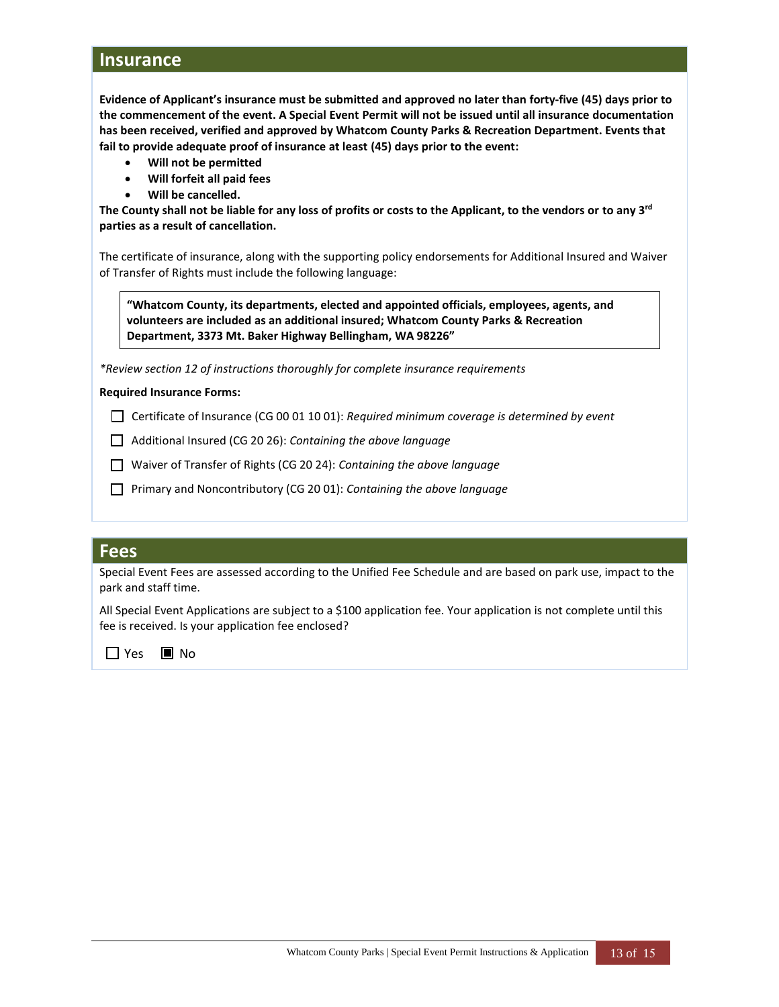### **Insurance**

**Evidence of Applicant's insurance must be submitted and approved no later than forty-five (45) days prior to the commencement of the event. A Special Event Permit will not be issued until all insurance documentation has been received, verified and approved by Whatcom County Parks & Recreation Department. Events that fail to provide adequate proof of insurance at least (45) days prior to the event:**

- **Will not be permitted**
- **Will forfeit all paid fees**
- **Will be cancelled.**

**The County shall not be liable for any loss of profits or costs to the Applicant, to the vendors or to any 3rd parties as a result of cancellation.**

The certificate of insurance, along with the supporting policy endorsements for Additional Insured and Waiver of Transfer of Rights must include the following language:

**"Whatcom County, its departments, elected and appointed officials, employees, agents, and volunteers are included as an additional insured; Whatcom County Parks & Recreation Department, 3373 Mt. Baker Highway Bellingham, WA 98226"**

*\*Review section 12 of instructions thoroughly for complete insurance requirements*

#### **Required Insurance Forms:**

Certificate of Insurance (CG 00 01 10 01): *Required minimum coverage is determined by event*  Y

*n* Additional Insured (CG 20 26): *Containing the above language* 

Waiver of Transfer of Rights (CG 20 24): *Containing the above language* <sup>Y</sup>

**Primary and Noncontributory (CG 20 01): Containing the above language** 

### **Fees**

Special Event Fees are assessed according to the Unified Fee Schedule and are based on park use, impact to the park and staff time.

All Special Event Applications are subject to a \$100 application fee. Your application is not complete until this fee is received. Is your application fee enclosed?

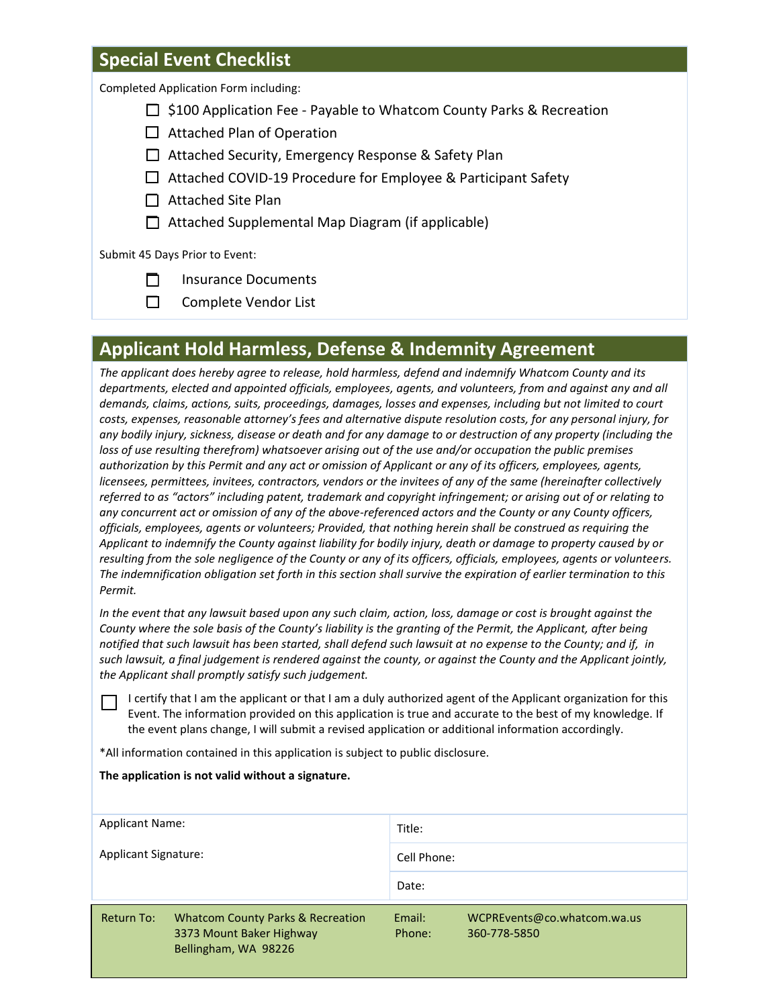### **Special Event Checklist**

Completed Application Form including:

- $\Box$  \$100 Application Fee Payable to Whatcom County Parks & Recreation
- $\Box$  Attached Plan of Operation
- □ Attached Security, Emergency Response & Safety Plan
- $\Box$  Attached COVID-19 Procedure for Employee & Participant Safety
- $\Box$  Attached Site Plan
- $\Box$  Attached Supplemental Map Diagram (if applicable)

Submit 45 Days Prior to Event:

- $\Box$  Insurance Documents
- □ Complete Vendor List

## **Applicant Hold Harmless, Defense & Indemnity Agreement**

*The applicant does hereby agree to release, hold harmless, defend and indemnify Whatcom County and its departments, elected and appointed officials, employees, agents, and volunteers, from and against any and all demands, claims, actions, suits, proceedings, damages, losses and expenses, including but not limited to court costs, expenses, reasonable attorney's fees and alternative dispute resolution costs, for any personal injury, for any bodily injury, sickness, disease or death and for any damage to or destruction of any property (including the loss of use resulting therefrom) whatsoever arising out of the use and/or occupation the public premises authorization by this Permit and any act or omission of Applicant or any of its officers, employees, agents, licensees, permittees, invitees, contractors, vendors or the invitees of any of the same (hereinafter collectively referred to as "actors" including patent, trademark and copyright infringement; or arising out of or relating to any concurrent act or omission of any of the above-referenced actors and the County or any County officers, officials, employees, agents or volunteers; Provided, that nothing herein shall be construed as requiring the Applicant to indemnify the County against liability for bodily injury, death or damage to property caused by or resulting from the sole negligence of the County or any of its officers, officials, employees, agents or volunteers. The indemnification obligation set forth in this section shall survive the expiration of earlier termination to this Permit.*

*In the event that any lawsuit based upon any such claim, action, loss, damage or cost is brought against the County where the sole basis of the County's liability is the granting of the Permit, the Applicant, after being notified that such lawsuit has been started, shall defend such lawsuit at no expense to the County; and if, in such lawsuit, a final judgement is rendered against the county, or against the County and the Applicant jointly, the Applicant shall promptly satisfy such judgement.*

 I certify that I am the applicant or that I am a duly authorized agent of the Applicant organization for this Event. The information provided on this application is true and accurate to the best of my knowledge. If the event plans change, I will submit a revised application or additional information accordingly.

\*All information contained in this application is subject to public disclosure.

**The application is not valid without a signature.**

| <b>Applicant Name:</b><br>Applicant Signature: |                                                                                                  | Title:           |                                             |
|------------------------------------------------|--------------------------------------------------------------------------------------------------|------------------|---------------------------------------------|
|                                                |                                                                                                  | Cell Phone:      |                                             |
|                                                |                                                                                                  | Date:            |                                             |
| Return To:                                     | <b>Whatcom County Parks &amp; Recreation</b><br>3373 Mount Baker Highway<br>Bellingham, WA 98226 | Email:<br>Phone: | WCPREvents@co.whatcom.wa.us<br>360-778-5850 |